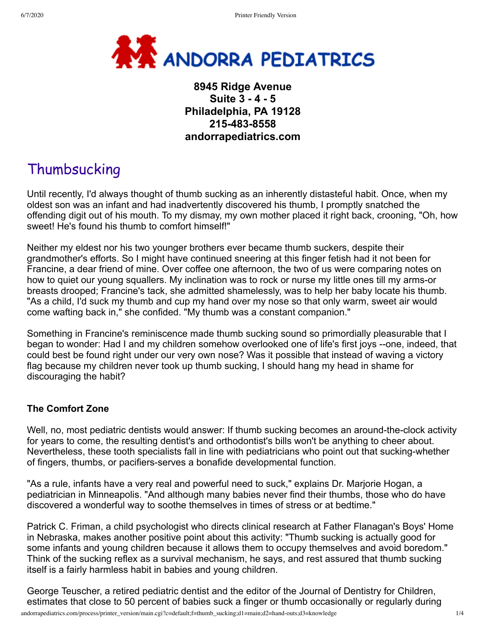

## **8945 Ridge Avenue Suite 3 - 4 - 5 Philadelphia, PA 19128 215-483-8558 andorrapediatrics.com**

# Thumbsucking

Until recently, I'd always thought of thumb sucking as an inherently distasteful habit. Once, when my oldest son was an infant and had inadvertently discovered his thumb, I promptly snatched the offending digit out of his mouth. To my dismay, my own mother placed it right back, crooning, "Oh, how sweet! He's found his thumb to comfort himself!"

Neither my eldest nor his two younger brothers ever became thumb suckers, despite their grandmother's efforts. So I might have continued sneering at this finger fetish had it not been for Francine, a dear friend of mine. Over coffee one afternoon, the two of us were comparing notes on how to quiet our young squallers. My inclination was to rock or nurse my little ones till my arms-or breasts drooped; Francine's tack, she admitted shamelessly, was to help her baby locate his thumb. "As a child, I'd suck my thumb and cup my hand over my nose so that only warm, sweet air would come wafting back in," she confided. "My thumb was a constant companion."

Something in Francine's reminiscence made thumb sucking sound so primordially pleasurable that I began to wonder: Had I and my children somehow overlooked one of life's first joys --one, indeed, that could best be found right under our very own nose? Was it possible that instead of waving a victory flag because my children never took up thumb sucking, I should hang my head in shame for discouraging the habit?

#### **The Comfort Zone**

Well, no, most pediatric dentists would answer: If thumb sucking becomes an around-the-clock activity for years to come, the resulting dentist's and orthodontist's bills won't be anything to cheer about. Nevertheless, these tooth specialists fall in line with pediatricians who point out that sucking-whether of fingers, thumbs, or pacifiers-serves a bonafide developmental function.

"As a rule, infants have a very real and powerful need to suck," explains Dr. Marjorie Hogan, a pediatrician in Minneapolis. "And although many babies never find their thumbs, those who do have discovered a wonderful way to soothe themselves in times of stress or at bedtime."

Patrick C. Friman, a child psychologist who directs clinical research at Father Flanagan's Boys' Home in Nebraska, makes another positive point about this activity: "Thumb sucking is actually good for some infants and young children because it allows them to occupy themselves and avoid boredom." Think of the sucking reflex as a survival mechanism, he says, and rest assured that thumb sucking itself is a fairly harmless habit in babies and young children.

George Teuscher, a retired pediatric dentist and the editor of the Journal of Dentistry for Children, estimates that close to 50 percent of babies suck a finger or thumb occasionally or regularly during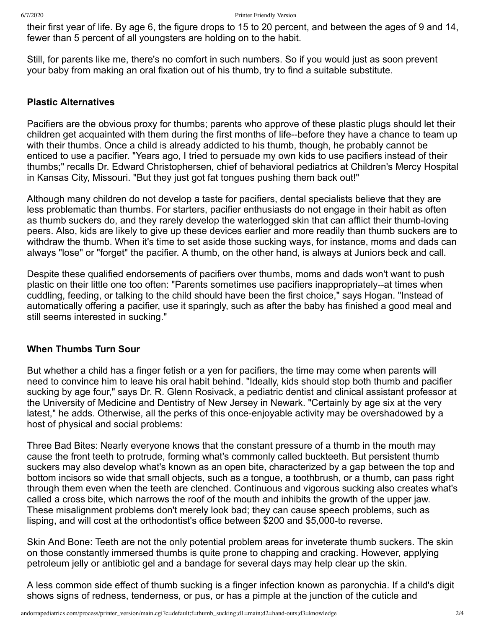their first year of life. By age 6, the figure drops to 15 to 20 percent, and between the ages of 9 and 14, fewer than 5 percent of all youngsters are holding on to the habit.

Still, for parents like me, there's no comfort in such numbers. So if you would just as soon prevent your baby from making an oral fixation out of his thumb, try to find a suitable substitute.

#### **Plastic Alternatives**

Pacifiers are the obvious proxy for thumbs; parents who approve of these plastic plugs should let their children get acquainted with them during the first months of life--before they have a chance to team up with their thumbs. Once a child is already addicted to his thumb, though, he probably cannot be enticed to use a pacifier. "Years ago, I tried to persuade my own kids to use pacifiers instead of their thumbs;" recalls Dr. Edward Christophersen, chief of behavioral pediatrics at Children's Mercy Hospital in Kansas City, Missouri. "But they just got fat tongues pushing them back out!"

Although many children do not develop a taste for pacifiers, dental specialists believe that they are less problematic than thumbs. For starters, pacifier enthusiasts do not engage in their habit as often as thumb suckers do, and they rarely develop the waterlogged skin that can afflict their thumb-loving peers. Also, kids are likely to give up these devices earlier and more readily than thumb suckers are to withdraw the thumb. When it's time to set aside those sucking ways, for instance, moms and dads can always "lose" or "forget" the pacifier. A thumb, on the other hand, is always at Juniors beck and call.

Despite these qualified endorsements of pacifiers over thumbs, moms and dads won't want to push plastic on their little one too often: "Parents sometimes use pacifiers inappropriately--at times when cuddling, feeding, or talking to the child should have been the first choice," says Hogan. "Instead of automatically offering a pacifier, use it sparingly, such as after the baby has finished a good meal and still seems interested in sucking."

#### **When Thumbs Turn Sour**

But whether a child has a finger fetish or a yen for pacifiers, the time may come when parents will need to convince him to leave his oral habit behind. "Ideally, kids should stop both thumb and pacifier sucking by age four," says Dr. R. Glenn Rosivack, a pediatric dentist and clinical assistant professor at the University of Medicine and Dentistry of New Jersey in Newark. "Certainly by age six at the very latest," he adds. Otherwise, all the perks of this once-enjoyable activity may be overshadowed by a host of physical and social problems:

Three Bad Bites: Nearly everyone knows that the constant pressure of a thumb in the mouth may cause the front teeth to protrude, forming what's commonly called buckteeth. But persistent thumb suckers may also develop what's known as an open bite, characterized by a gap between the top and bottom incisors so wide that small objects, such as a tongue, a toothbrush, or a thumb, can pass right through them even when the teeth are clenched. Continuous and vigorous sucking also creates what's called a cross bite, which narrows the roof of the mouth and inhibits the growth of the upper jaw. These misalignment problems don't merely look bad; they can cause speech problems, such as lisping, and will cost at the orthodontist's office between \$200 and \$5,000-to reverse.

Skin And Bone: Teeth are not the only potential problem areas for inveterate thumb suckers. The skin on those constantly immersed thumbs is quite prone to chapping and cracking. However, applying petroleum jelly or antibiotic gel and a bandage for several days may help clear up the skin.

A less common side effect of thumb sucking is a finger infection known as paronychia. If a child's digit shows signs of redness, tenderness, or pus, or has a pimple at the junction of the cuticle and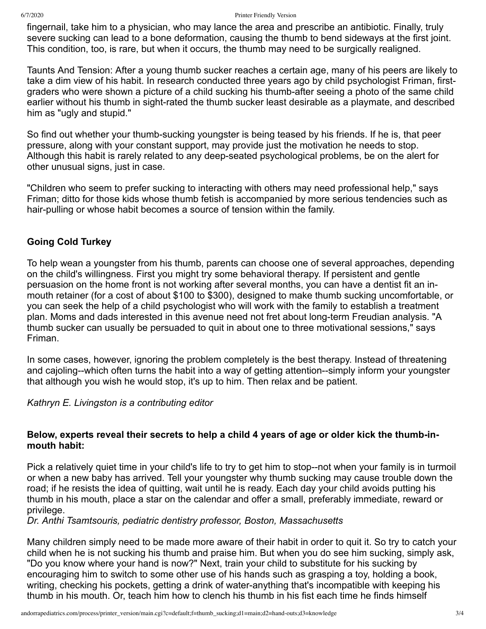fingernail, take him to a physician, who may lance the area and prescribe an antibiotic. Finally, truly severe sucking can lead to a bone deformation, causing the thumb to bend sideways at the first joint. This condition, too, is rare, but when it occurs, the thumb may need to be surgically realigned.

Taunts And Tension: After a young thumb sucker reaches a certain age, many of his peers are likely to take a dim view of his habit. In research conducted three years ago by child psychologist Friman, firstgraders who were shown a picture of a child sucking his thumb-after seeing a photo of the same child earlier without his thumb in sight-rated the thumb sucker least desirable as a playmate, and described him as "ugly and stupid."

So find out whether your thumb-sucking youngster is being teased by his friends. If he is, that peer pressure, along with your constant support, may provide just the motivation he needs to stop. Although this habit is rarely related to any deep-seated psychological problems, be on the alert for other unusual signs, just in case.

"Children who seem to prefer sucking to interacting with others may need professional help," says Friman; ditto for those kids whose thumb fetish is accompanied by more serious tendencies such as hair-pulling or whose habit becomes a source of tension within the family.

### **Going Cold Turkey**

To help wean a youngster from his thumb, parents can choose one of several approaches, depending on the child's willingness. First you might try some behavioral therapy. If persistent and gentle persuasion on the home front is not working after several months, you can have a dentist fit an inmouth retainer (for a cost of about \$100 to \$300), designed to make thumb sucking uncomfortable, or you can seek the help of a child psychologist who will work with the family to establish a treatment plan. Moms and dads interested in this avenue need not fret about long-term Freudian analysis. "A thumb sucker can usually be persuaded to quit in about one to three motivational sessions," says Friman.

In some cases, however, ignoring the problem completely is the best therapy. Instead of threatening and cajoling--which often turns the habit into a way of getting attention--simply inform your youngster that although you wish he would stop, it's up to him. Then relax and be patient.

*Kathryn E. Livingston is a contributing editor*

#### **Below, experts reveal their secrets to help a child 4 years of age or older kick the thumb-inmouth habit:**

Pick a relatively quiet time in your child's life to try to get him to stop--not when your family is in turmoil or when a new baby has arrived. Tell your youngster why thumb sucking may cause trouble down the road; if he resists the idea of quitting, wait until he is ready. Each day your child avoids putting his thumb in his mouth, place a star on the calendar and offer a small, preferably immediate, reward or privilege.

*Dr. Anthi Tsamtsouris, pediatric dentistry professor, Boston, Massachusetts*

Many children simply need to be made more aware of their habit in order to quit it. So try to catch your child when he is not sucking his thumb and praise him. But when you do see him sucking, simply ask, "Do you know where your hand is now?" Next, train your child to substitute for his sucking by encouraging him to switch to some other use of his hands such as grasping a toy, holding a book, writing, checking his pockets, getting a drink of water-anything that's incompatible with keeping his thumb in his mouth. Or, teach him how to clench his thumb in his fist each time he finds himself